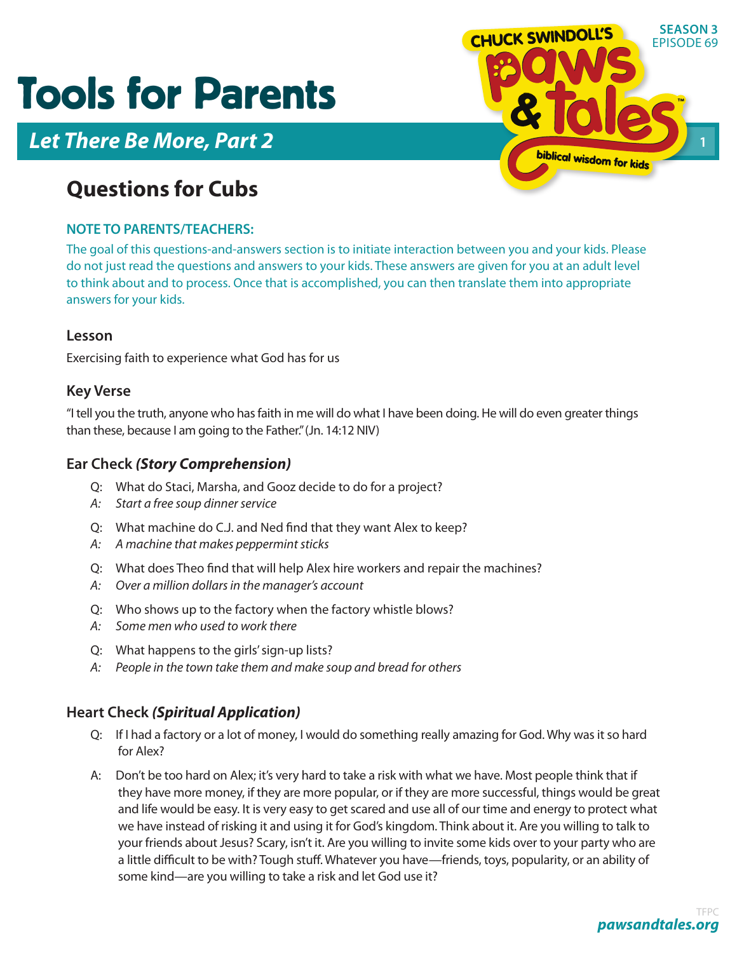# Tools for Parents



## **Questions for Cubs**

### **NOTE TO PARENTS/TEACHERS:**

The goal of this questions-and-answers section is to initiate interaction between you and your kids. Please do not just read the questions and answers to your kids. These answers are given for you at an adult level to think about and to process. Once that is accomplished, you can then translate them into appropriate answers for your kids.

#### **Lesson**

Exercising faith to experience what God has for us

#### **Key Verse**

"I tell you the truth, anyone who has faith in me will do what I have been doing. He will do even greater things than these, because I am going to the Father." (Jn. 14:12 NIV)

### **Ear Check** *(Story Comprehension)*

- Q: What do Staci, Marsha, and Gooz decide to do for a project?
- *A: Start a free soup dinner service*
- Q: What machine do C.J. and Ned find that they want Alex to keep?
- *A: A machine that makes peppermint sticks*
- Q: What does Theo find that will help Alex hire workers and repair the machines?
- *A: Over a million dollars in the manager's account*
- Q: Who shows up to the factory when the factory whistle blows?
- *A: Some men who used to work there*
- Q: What happens to the girls' sign-up lists?
- *A: People in the town take them and make soup and bread for others*

#### **Heart Check** *(Spiritual Application)*

- Q: If I had a factory or a lot of money, I would do something really amazing for God. Why was it so hard for Alex?
- A: Don't be too hard on Alex; it's very hard to take a risk with what we have. Most people think that if they have more money, if they are more popular, or if they are more successful, things would be great and life would be easy. It is very easy to get scared and use all of our time and energy to protect what we have instead of risking it and using it for God's kingdom. Think about it. Are you willing to talk to your friends about Jesus? Scary, isn't it. Are you willing to invite some kids over to your party who are a little difficult to be with? Tough stuff. Whatever you have—friends, toys, popularity, or an ability of some kind—are you willing to take a risk and let God use it?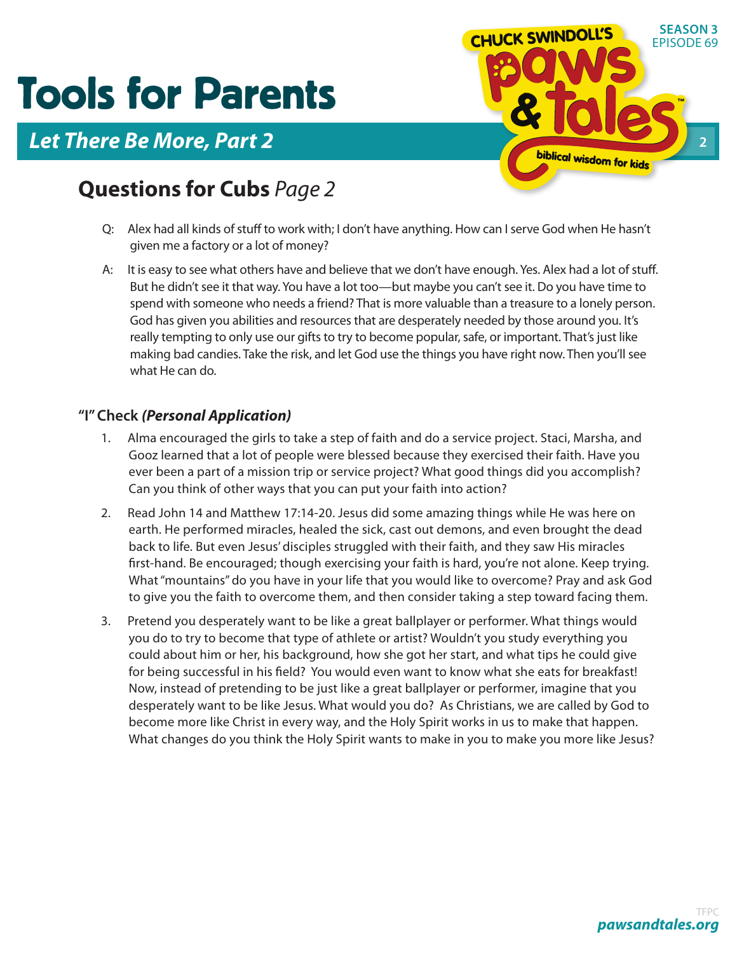# Tools for Parents



## **Questions for Cubs** *Page 2*

- Q: Alex had all kinds of stuff to work with; I don't have anything. How can I serve God when He hasn't given me a factory or a lot of money?
- A: It is easy to see what others have and believe that we don't have enough. Yes. Alex had a lot of stuff. But he didn't see it that way. You have a lot too—but maybe you can't see it. Do you have time to spend with someone who needs a friend? That is more valuable than a treasure to a lonely person. God has given you abilities and resources that are desperately needed by those around you. It's really tempting to only use our gifts to try to become popular, safe, or important. That's just like making bad candies. Take the risk, and let God use the things you have right now. Then you'll see what He can do.

### **"I" Check** *(Personal Application)*

- 1. Alma encouraged the girls to take a step of faith and do a service project. Staci, Marsha, and Gooz learned that a lot of people were blessed because they exercised their faith. Have you ever been a part of a mission trip or service project? What good things did you accomplish? Can you think of other ways that you can put your faith into action?
- 2. Read John 14 and Matthew 17:14-20. Jesus did some amazing things while He was here on earth. He performed miracles, healed the sick, cast out demons, and even brought the dead back to life. But even Jesus' disciples struggled with their faith, and they saw His miracles first-hand. Be encouraged; though exercising your faith is hard, you're not alone. Keep trying. What "mountains" do you have in your life that you would like to overcome? Pray and ask God to give you the faith to overcome them, and then consider taking a step toward facing them.
- 3. Pretend you desperately want to be like a great ballplayer or performer. What things would you do to try to become that type of athlete or artist? Wouldn't you study everything you could about him or her, his background, how she got her start, and what tips he could give for being successful in his field? You would even want to know what she eats for breakfast! Now, instead of pretending to be just like a great ballplayer or performer, imagine that you desperately want to be like Jesus. What would you do? As Christians, we are called by God to become more like Christ in every way, and the Holy Spirit works in us to make that happen. What changes do you think the Holy Spirit wants to make in you to make you more like Jesus?